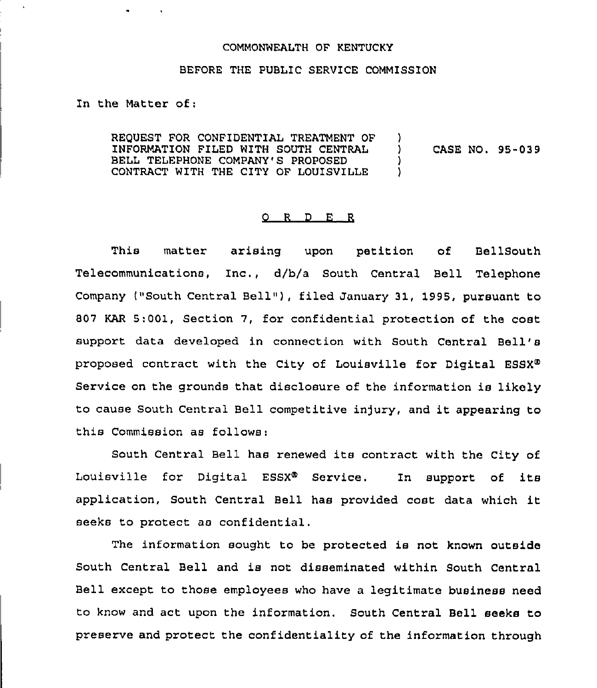## COMMONWEALTH OF KENTUCKY

## BEFORE THE PUBLIC SERVICE COMMISSION

In the Matter of:

REQUEST FOR CONFIDENTIAL TREATMENT OF INFORMATION FILED WITH SOUTH CENTRAL BELL TELEPHONE COMPANY'S PROPOSED CONTRACT WITH THE CITY OF LOUISVILLE )<br>) ) CASE NO. 95-039 ) )

## 0 <sup>R</sup> <sup>D</sup> E <sup>R</sup>

This matter arising upon petition of BellSouth Telecommunications, Inc., d/b/a South Central Bell Telephone Company ("South Central Bell"), filed January 31, 1995, pursuant to 807 KAR 5:001, Section 7, for confidential protection of the cost support data developed in connection with South Central Bell' proposed contract with the City of Louisville for Digital ESSX<sup>®</sup> service on the grounds that disclosure of the information is likely to cause South Central Bell competitive injury, and it appearing to this Commission as follows:

South Central Bell has renewed its contract with the City of Louisville for Digital ESSX<sup>®</sup> Service. In support of its application, South Central Bell has provided cost data which it seeks to protect as confidential .

The information sought to be protected is not known outside South Central Bell and is not disseminated within South Central Bell except to those employees who have a legitimate business need to know and act upon the information. South Central Bell seeks to preserve and protect the confidentiality of the information through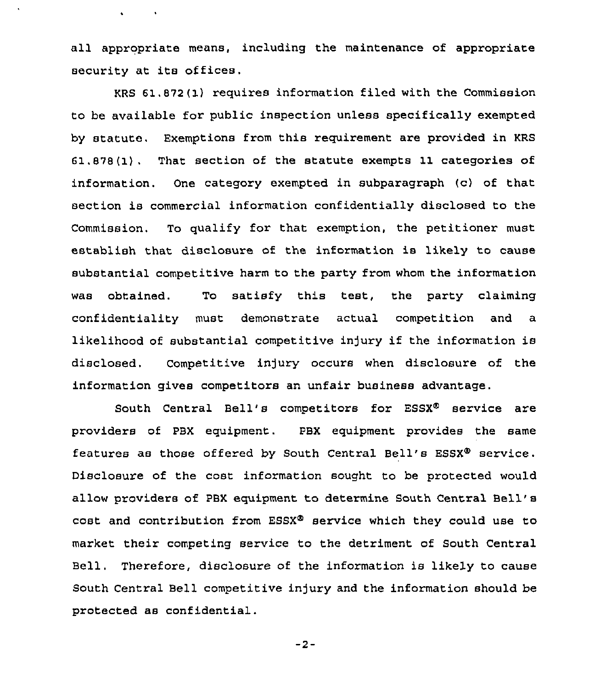all appropriate means, including the maintenance of appropriate security at its offices.

 $\mathbf{v} = \mathbf{v} \times \mathbf{v}$  . We set

KRS 61.872(1) requires information filed with the Commission to be available for public inspection unless specifically exempted by statute, Exemptions from this requirement are provided in KRS 61.878(1). That section of the statute exempts 11 categories of information. One category exempted in subparagraph (c) of that section is commercial information confidentially disclosed to the Commission, To qualify for that exemption, the petitioner must establish that disclosure of the information is likely to cause substantial competitive harm to the party from whom the information was obtained. To satisfy this test, the party claiming confidentiality must demonstrate actual competition and a likelihood of substantial competitive injury if the information is disclosed. Competitive in]ury occurs when disclosure of the information gives competitors an unfair business advantage.

South Central Bell's competitors for ESSX<sup>®</sup> service are providers of PBX equipment. PBX equipment provides the same features as those offered by South Central Bell's ESSX $\Phi$  service. Disclosure of the cost information sought to be protected would allow providers of PBX equipment to determine South Central Bell' cost and contribution from  $ESSX^{\Phi}$  service which they could use to market their competing service to the detriment of South Central Bell. Therefore, disclosure of the information is likely to cause South Central Bell competitive injury and the information should be protected as confidential.

 $-2-$